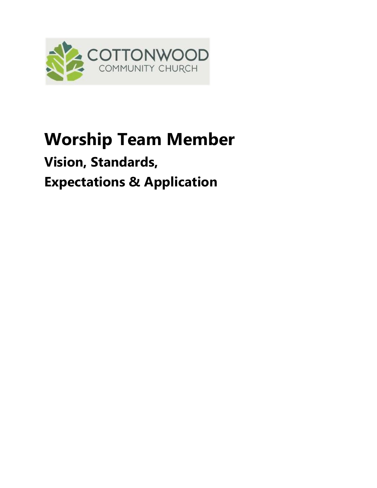

# **Worship Team Member**

# **Vision, Standards, Expectations & Application**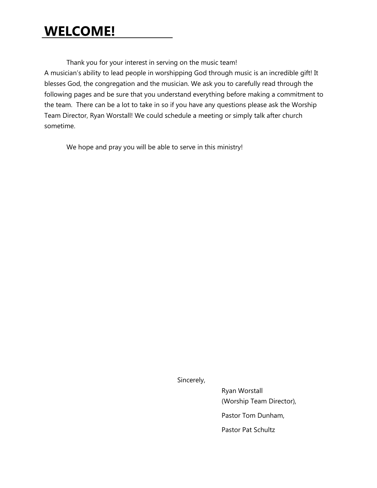### **WELCOME!**

Thank you for your interest in serving on the music team!

A musician's ability to lead people in worshipping God through music is an incredible gift! It blesses God, the congregation and the musician. We ask you to carefully read through the following pages and be sure that you understand everything before making a commitment to the team. There can be a lot to take in so if you have any questions please ask the Worship Team Director, Ryan Worstall! We could schedule a meeting or simply talk after church sometime.

We hope and pray you will be able to serve in this ministry!

Sincerely,

Ryan Worstall (Worship Team Director), Pastor Tom Dunham, Pastor Pat Schultz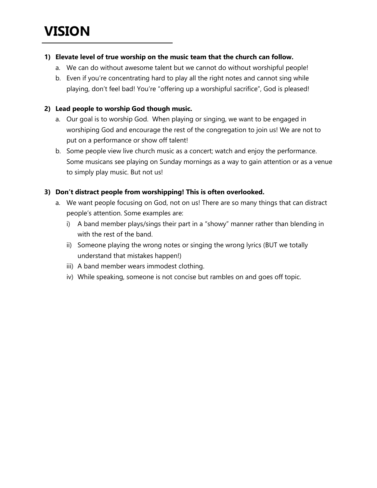### **VISION**

#### **1) Elevate level of true worship on the music team that the church can follow.**

- a. We can do without awesome talent but we cannot do without worshipful people!
- b. Even if you're concentrating hard to play all the right notes and cannot sing while playing, don't feel bad! You're "offering up a worshipful sacrifice", God is pleased!

#### **2) Lead people to worship God though music.**

- a. Our goal is to worship God. When playing or singing, we want to be engaged in worshiping God and encourage the rest of the congregation to join us! We are not to put on a performance or show off talent!
- b. Some people view live church music as a concert; watch and enjoy the performance. Some musicans see playing on Sunday mornings as a way to gain attention or as a venue to simply play music. But not us!

#### **3) Don't distract people from worshipping! This is often overlooked.**

- a. We want people focusing on God, not on us! There are so many things that can distract people's attention. Some examples are:
	- i) A band member plays/sings their part in a "showy" manner rather than blending in with the rest of the band.
	- ii) Someone playing the wrong notes or singing the wrong lyrics (BUT we totally understand that mistakes happen!)
	- iii) A band member wears immodest clothing.
	- iv) While speaking, someone is not concise but rambles on and goes off topic.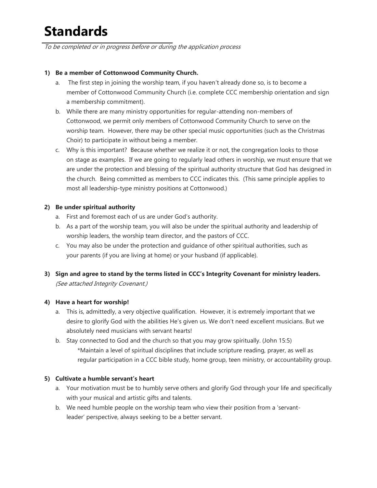## **Standards**

To be completed or in progress before or during the application process

#### **1) Be a member of Cottonwood Community Church.**

- a. The first step in joining the worship team, if you haven't already done so, is to become a member of Cottonwood Community Church (i.e. complete CCC membership orientation and sign a membership commitment).
- b. While there are many ministry opportunities for regular-attending non-members of Cottonwood, we permit only members of Cottonwood Community Church to serve on the worship team. However, there may be other special music opportunities (such as the Christmas Choir) to participate in without being a member.
- c. Why is this important? Because whether we realize it or not, the congregation looks to those on stage as examples. If we are going to regularly lead others in worship, we must ensure that we are under the protection and blessing of the spiritual authority structure that God has designed in the church. Being committed as members to CCC indicates this. (This same principle applies to most all leadership-type ministry positions at Cottonwood.)

#### **2) Be under spiritual authority**

- a. First and foremost each of us are under God's authority.
- b. As a part of the worship team, you will also be under the spiritual authority and leadership of worship leaders, the worship team director, and the pastors of CCC.
- c. You may also be under the protection and guidance of other spiritual authorities, such as your parents (if you are living at home) or your husband (if applicable).
- **3) Sign and agree to stand by the terms listed in CCC's Integrity Covenant for ministry leaders.** (See attached Integrity Covenant.)

#### **4) Have a heart for worship!**

- a. This is, admittedly, a very objective qualification. However, it is extremely important that we desire to glorify God with the abilities He's given us. We don't need excellent musicians. But we absolutely need musicians with servant hearts!
- b. Stay connected to God and the church so that you may grow spiritually. (John 15:5) \*Maintain a level of spiritual disciplines that include scripture reading, prayer, as well as regular participation in a CCC bible study, home group, teen ministry, or accountability group.

#### **5) Cultivate a humble servant's heart**

- a. Your motivation must be to humbly serve others and glorify God through your life and specifically with your musical and artistic gifts and talents.
- b. We need humble people on the worship team who view their position from a 'servantleader' perspective, always seeking to be a better servant.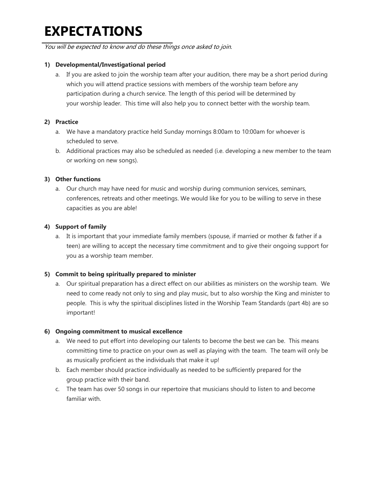## **EXPECTATIONS**

You will be expected to know and do these things once asked to join. 

#### **1) Developmental/Investigational period**

a. If you are asked to join the worship team after your audition, there may be a short period during which you will attend practice sessions with members of the worship team before any participation during a church service. The length of this period will be determined by your worship leader. This time will also help you to connect better with the worship team.

#### **2) Practice**

- a. We have a mandatory practice held Sunday mornings 8:00am to 10:00am for whoever is scheduled to serve.
- b. Additional practices may also be scheduled as needed (i.e. developing a new member to the team or working on new songs).

#### **3) Other functions**

a. Our church may have need for music and worship during communion services, seminars, conferences, retreats and other meetings. We would like for you to be willing to serve in these capacities as you are able!

#### **4) Support of family**

a. It is important that your immediate family members (spouse, if married or mother & father if a teen) are willing to accept the necessary time commitment and to give their ongoing support for you as a worship team member.

#### **5) Commit to being spiritually prepared to minister**

a. Our spiritual preparation has a direct effect on our abilities as ministers on the worship team. We need to come ready not only to sing and play music, but to also worship the King and minister to people. This is why the spiritual disciplines listed in the Worship Team Standards (part 4b) are so important!

#### **6) Ongoing commitment to musical excellence**

- a. We need to put effort into developing our talents to become the best we can be. This means committing time to practice on your own as well as playing with the team. The team will only be as musically proficient as the individuals that make it up!
- b. Each member should practice individually as needed to be sufficiently prepared for the group practice with their band.
- c. The team has over 50 songs in our repertoire that musicians should to listen to and become familiar with.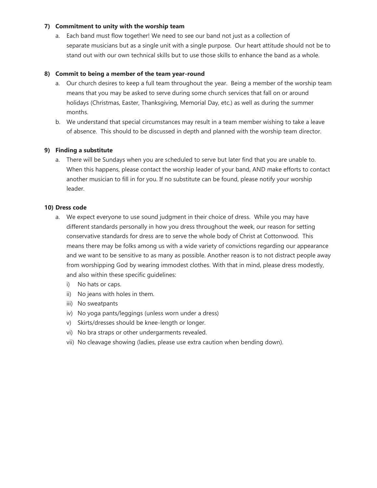#### **7) Commitment to unity with the worship team**

a. Each band must flow together! We need to see our band not just as a collection of separate musicians but as a single unit with a single purpose. Our heart attitude should not be to stand out with our own technical skills but to use those skills to enhance the band as a whole.

#### **8) Commit to being a member of the team year-round**

- a. Our church desires to keep a full team throughout the year. Being a member of the worship team means that you may be asked to serve during some church services that fall on or around holidays (Christmas, Easter, Thanksgiving, Memorial Day, etc.) as well as during the summer months.
- b. We understand that special circumstances may result in a team member wishing to take a leave of absence. This should to be discussed in depth and planned with the worship team director.

#### **9) Finding a substitute**

a. There will be Sundays when you are scheduled to serve but later find that you are unable to. When this happens, please contact the worship leader of your band, AND make efforts to contact another musician to fill in for you. If no substitute can be found, please notify your worship leader.

#### **10) Dress code**

- a. We expect everyone to use sound judgment in their choice of dress. While you may have different standards personally in how you dress throughout the week, our reason for setting conservative standards for dress are to serve the whole body of Christ at Cottonwood. This means there may be folks among us with a wide variety of convictions regarding our appearance and we want to be sensitive to as many as possible. Another reason is to not distract people away from worshipping God by wearing immodest clothes. With that in mind, please dress modestly, and also within these specific guidelines:
	- i) No hats or caps.
	- ii) No jeans with holes in them.
	- iii) No sweatpants
	- iv) No yoga pants/leggings (unless worn under a dress)
	- v) Skirts/dresses should be knee-length or longer.
	- vi) No bra straps or other undergarments revealed.
	- vii) No cleavage showing (ladies, please use extra caution when bending down).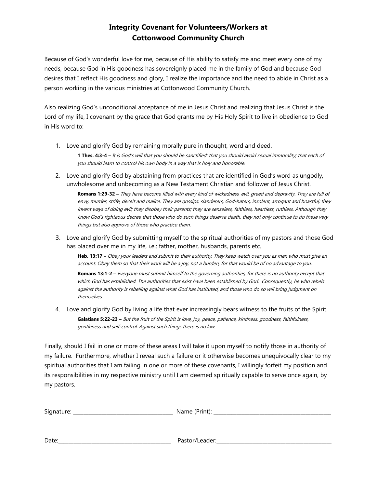#### **Integrity Covenant for Volunteers/Workers at Cottonwood Community Church**

Because of God's wonderful love for me, because of His ability to satisfy me and meet every one of my needs, because God in His goodness has sovereignly placed me in the family of God and because God desires that I reflect His goodness and glory, I realize the importance and the need to abide in Christ as a person working in the various ministries at Cottonwood Community Church.

Also realizing God's unconditional acceptance of me in Jesus Christ and realizing that Jesus Christ is the Lord of my life, I covenant by the grace that God grants me by His Holy Spirit to live in obedience to God in His word to:

- 1. Love and glorify God by remaining morally pure in thought, word and deed. **1 Thes. 4:3-4 –** It is God's will that you should be sanctified: that you should avoid sexual immorality; that each of you should learn to control his own body in a way that is holy and honorable.
- 2. Love and glorify God by abstaining from practices that are identified in God's word as ungodly, unwholesome and unbecoming as a New Testament Christian and follower of Jesus Christ.

**Romans 1:29-32 –** They have become filled with every kind of wickedness, evil, greed and depravity. They are full of envy, murder, strife, deceit and malice. They are gossips, slanderers, God-haters, insolent, arrogant and boastful; they invent ways of doing evil; they disobey their parents; they are senseless, faithless, heartless, ruthless. Although they know God's righteous decree that those who do such things deserve death, they not only continue to do these very things but also approve of those who practice them.

3. Love and glorify God by submitting myself to the spiritual authorities of my pastors and those God has placed over me in my life, i.e.: father, mother, husbands, parents etc.

**Heb. 13:17 –** Obey your leaders and submit to their authority. They keep watch over you as men who must give an account. Obey them so that their work will be a joy, not a burden, for that would be of no advantage to you.

**Romans 13:1-2 –** Everyone must submit himself to the governing authorities, for there is no authority except that which God has established. The authorities that exist have been established by God. Consequently, he who rebels against the authority is rebelling against what God has instituted, and those who do so will bring judgment on themselves.

4. Love and glorify God by living a life that ever increasingly bears witness to the fruits of the Spirit. **Galatians 5:22-23 –** But the fruit of the Spirit is love, joy, peace, patience, kindness, goodness, faithfulness, gentleness and self-control. Against such things there is no law.

Finally, should I fail in one or more of these areas I will take it upon myself to notify those in authority of my failure. Furthermore, whether I reveal such a failure or it otherwise becomes unequivocally clear to my spiritual authorities that I am failing in one or more of these covenants, I willingly forfeit my position and its responsibilities in my respective ministry until I am deemed spiritually capable to serve once again, by my pastors.

| Signature: | Name (Print):  |  |
|------------|----------------|--|
|            |                |  |
|            |                |  |
| Date:      | Pastor/Leader: |  |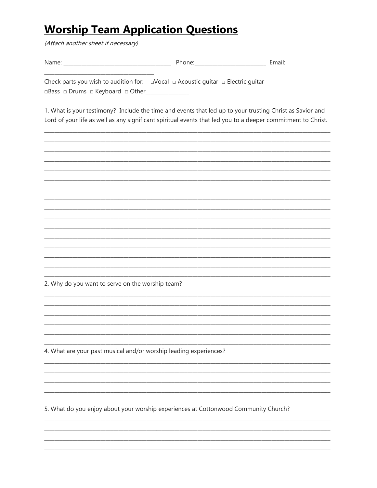### **Worship Team Application Questions**

(Attach another sheet if necessary)

| . N. 1<br>M<br><b>STATISTICS</b> | $\sim$<br>____ | ___<br>_______ |
|----------------------------------|----------------|----------------|
|                                  |                |                |

Check parts you wish to audition for:  $\Box$ Vocal  $\Box$  Acoustic quitar  $\Box$  Electric quitar □Bass □ Drums □ Keyboard □ Other\_\_\_\_\_\_\_\_\_\_\_\_\_\_\_

1. What is your testimony? Include the time and events that led up to your trusting Christ as Savior and Lord of your life as well as any significant spiritual events that led you to a deeper commitment to Christ.

2. Why do you want to serve on the worship team?

4. What are your past musical and/or worship leading experiences?

5. What do you enjoy about your worship experiences at Cottonwood Community Church?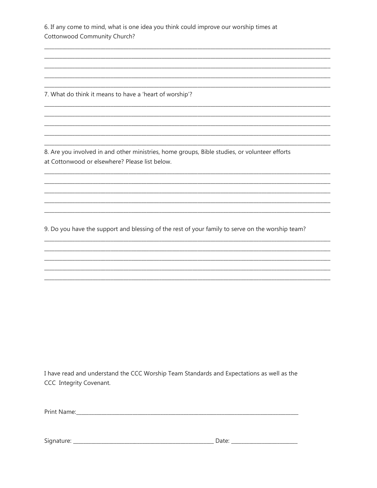6. If any come to mind, what is one idea you think could improve our worship times at Cottonwood Community Church?

7. What do think it means to have a 'heart of worship'?

8. Are you involved in and other ministries, home groups, Bible studies, or volunteer efforts at Cottonwood or elsewhere? Please list below.

9. Do you have the support and blessing of the rest of your family to serve on the worship team?

I have read and understand the CCC Worship Team Standards and Expectations as well as the CCC Integrity Covenant.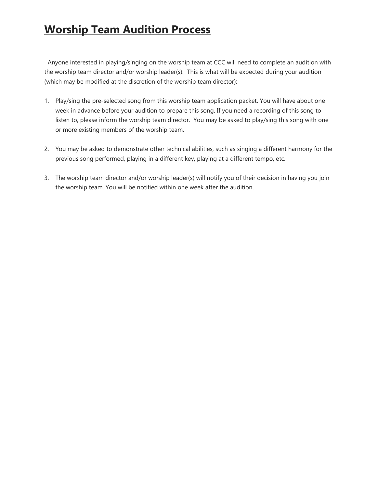### **Worship Team Audition Process**

Anyone interested in playing/singing on the worship team at CCC will need to complete an audition with the worship team director and/or worship leader(s). This is what will be expected during your audition (which may be modified at the discretion of the worship team director):

- 1. Play/sing the pre-selected song from this worship team application packet. You will have about one week in advance before your audition to prepare this song. If you need a recording of this song to listen to, please inform the worship team director. You may be asked to play/sing this song with one or more existing members of the worship team.
- 2. You may be asked to demonstrate other technical abilities, such as singing a different harmony for the previous song performed, playing in a different key, playing at a different tempo, etc.
- 3. The worship team director and/or worship leader(s) will notify you of their decision in having you join the worship team. You will be notified within one week after the audition.